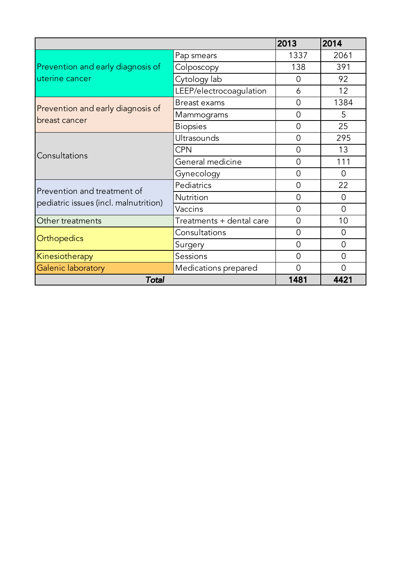|                                                                      |                          | 2013           | 2014           |
|----------------------------------------------------------------------|--------------------------|----------------|----------------|
| Prevention and early diagnosis of<br>uterine cancer                  | Pap smears               | 1337           | 2061           |
|                                                                      | Colposcopy               | 138            | 391            |
|                                                                      | Cytology lab             | 0              | 92             |
|                                                                      | LEEP/electrocoagulation  | 6              | 12             |
| Prevention and early diagnosis of<br>breast cancer                   | Breast exams             | 0              | 1384           |
|                                                                      | Mammograms               | 0              | 5              |
|                                                                      | <b>Biopsies</b>          | 0              | 25             |
| Consultations                                                        | Ultrasounds              | 0              | 295            |
|                                                                      | <b>CPN</b>               | 0              | 13             |
|                                                                      | General medicine         | $\overline{0}$ | 111            |
|                                                                      | Gynecology               | 0              | $\Omega$       |
| Prevention and treatment of<br>pediatric issues (incl. malnutrition) | Pediatrics               | 0              | 22             |
|                                                                      | <b>Nutrition</b>         | 0              | $\Omega$       |
|                                                                      | Vaccins                  | $\overline{0}$ | $\overline{0}$ |
| Other treatments                                                     | Treatments + dental care | 0              | 10             |
| Orthopedics                                                          | Consultations            | 0              | 0              |
|                                                                      | Surgery                  | 0              | $\Omega$       |
| Kinesiotherapy                                                       | Sessions                 | 0              | 0              |
| Galenic laboratory                                                   | Medications prepared     | $\overline{0}$ | 0              |
| <b>Total</b>                                                         | 1481                     | 4421           |                |